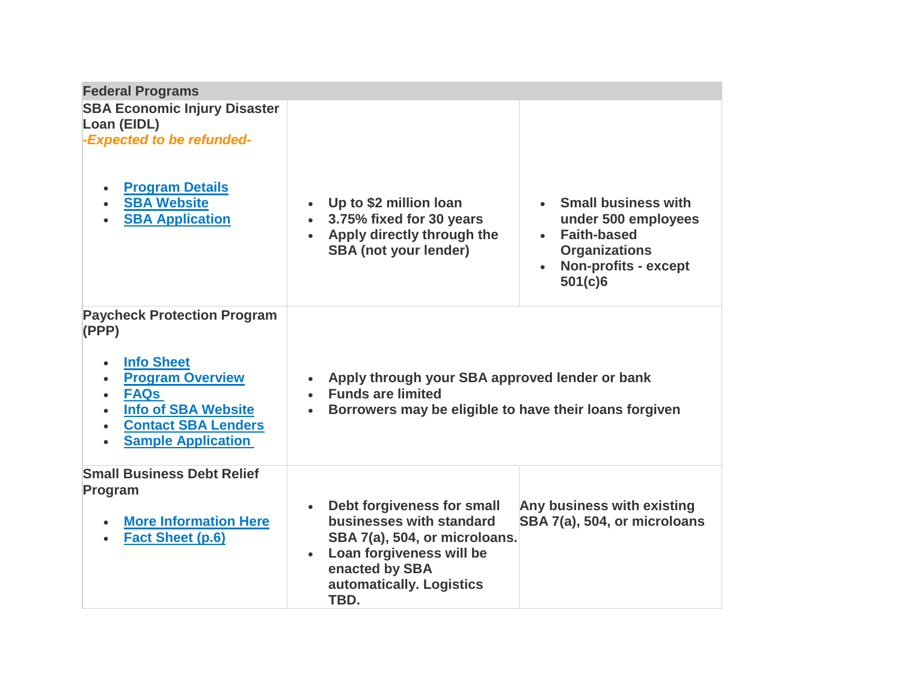| <b>Federal Programs</b>                                                                                                                                                                                                                                                           |                                                                                                                                                                           |                                                                                                                                      |
|-----------------------------------------------------------------------------------------------------------------------------------------------------------------------------------------------------------------------------------------------------------------------------------|---------------------------------------------------------------------------------------------------------------------------------------------------------------------------|--------------------------------------------------------------------------------------------------------------------------------------|
| <b>SBA Economic Injury Disaster</b><br>Loan (EIDL)<br>-Expected to be refunded-<br><b>Program Details</b><br><b>SBA Website</b><br><b>SBA Application</b>                                                                                                                         | • Up to \$2 million loan<br>3.75% fixed for 30 years<br>$\bullet$<br>• Apply directly through the<br><b>SBA</b> (not your lender)                                         | • Small business with<br>under 500 employees<br><b>Faith-based</b><br><b>Organizations</b><br><b>Non-profits - except</b><br>501(c)6 |
| <b>Paycheck Protection Program</b><br>(PPP)<br><b>Info Sheet</b><br>$\bullet$<br><b>Program Overview</b><br>$\bullet$<br><b>FAQs</b><br>$\bullet$<br><b>Info of SBA Website</b><br>$\bullet$<br><b>Contact SBA Lenders</b><br>$\bullet$<br><b>Sample Application</b><br>$\bullet$ | Apply through your SBA approved lender or bank<br>$\bullet$<br>• Funds are limited<br>Borrowers may be eligible to have their loans forgiven<br>$\bullet$                 |                                                                                                                                      |
| <b>Small Business Debt Relief</b><br>Program<br><b>More Information Here</b><br><b>Fact Sheet (p.6)</b>                                                                                                                                                                           | Debt forgiveness for small<br>businesses with standard<br>SBA 7(a), 504, or microloans.<br>Loan forgiveness will be<br>enacted by SBA<br>automatically. Logistics<br>TBD. | Any business with existing<br>SBA 7(a), 504, or microloans                                                                           |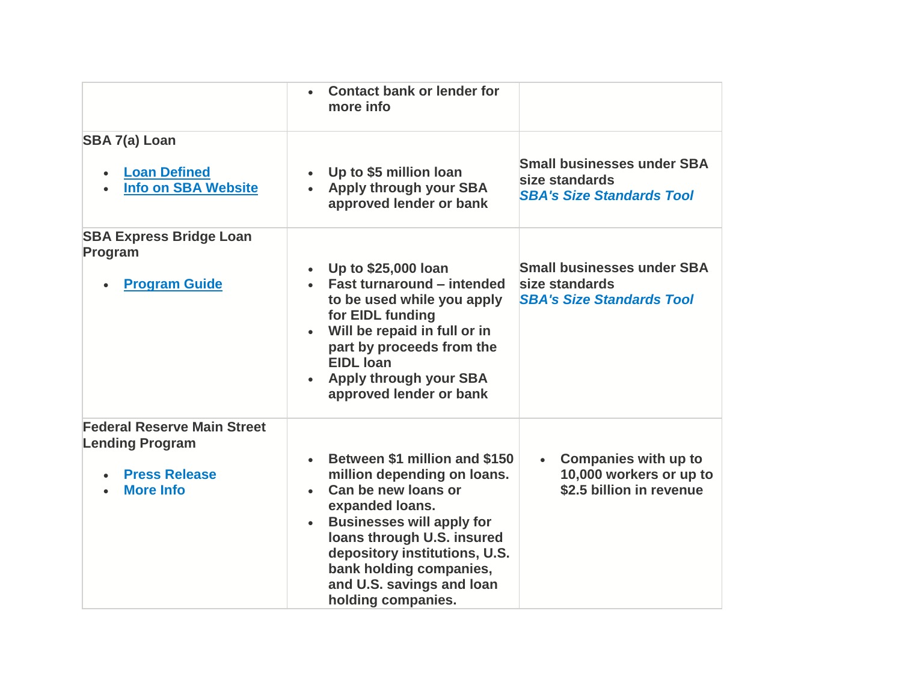|                                                                                                          | <b>Contact bank or lender for</b><br>more info                                                                                                                                                                                                                                                       |                                                                                         |
|----------------------------------------------------------------------------------------------------------|------------------------------------------------------------------------------------------------------------------------------------------------------------------------------------------------------------------------------------------------------------------------------------------------------|-----------------------------------------------------------------------------------------|
| SBA 7(a) Loan<br><b>Loan Defined</b><br><b>Info on SBA Website</b>                                       | Up to \$5 million loan<br>• Apply through your SBA<br>approved lender or bank                                                                                                                                                                                                                        | <b>Small businesses under SBA</b><br>size standards<br><b>SBA's Size Standards Tool</b> |
| <b>SBA Express Bridge Loan</b><br>Program<br><b>Program Guide</b>                                        | • Up to \$25,000 loan<br><b>Fast turnaround - intended</b><br>to be used while you apply<br>for EIDL funding<br>Will be repaid in full or in<br>part by proceeds from the<br><b>EIDL</b> Ioan<br>Apply through your SBA<br>approved lender or bank                                                   | <b>Small businesses under SBA</b><br>size standards<br><b>SBA's Size Standards Tool</b> |
| <b>Federal Reserve Main Street</b><br><b>Lending Program</b><br><b>Press Release</b><br><b>More Info</b> | Between \$1 million and \$150<br>million depending on loans.<br>Can be new loans or<br>expanded loans.<br><b>Businesses will apply for</b><br>$\bullet$<br>loans through U.S. insured<br>depository institutions, U.S.<br>bank holding companies,<br>and U.S. savings and loan<br>holding companies. | <b>Companies with up to</b><br>10,000 workers or up to<br>\$2.5 billion in revenue      |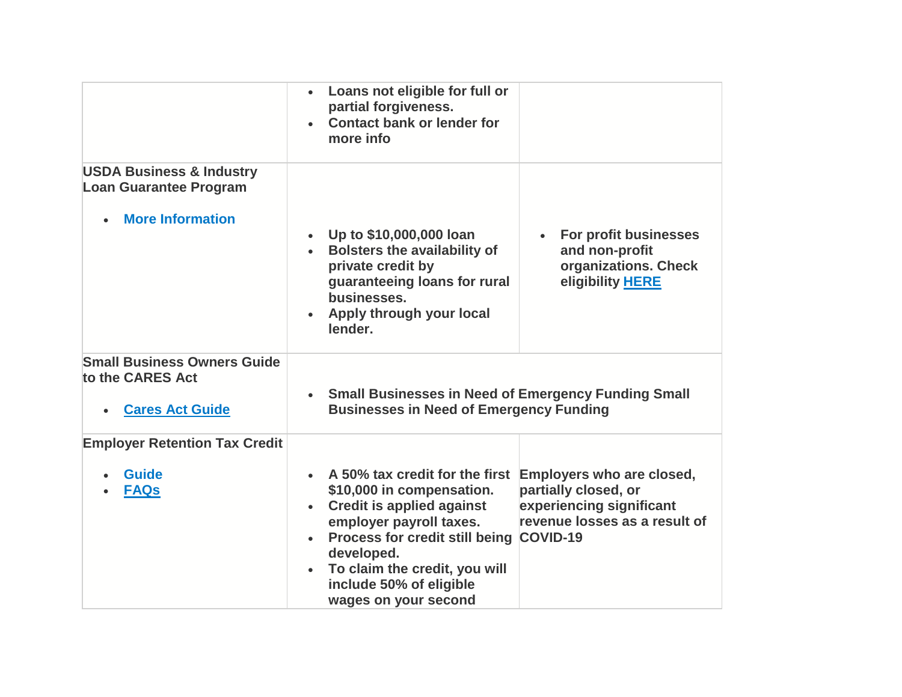|                                                                                                 | Loans not eligible for full or<br>$\bullet$<br>partial forgiveness.<br><b>Contact bank or lender for</b><br>more info                                                                                                                                                                             |                                                                                                                |
|-------------------------------------------------------------------------------------------------|---------------------------------------------------------------------------------------------------------------------------------------------------------------------------------------------------------------------------------------------------------------------------------------------------|----------------------------------------------------------------------------------------------------------------|
| <b>USDA Business &amp; Industry</b><br><b>Loan Guarantee Program</b><br><b>More Information</b> |                                                                                                                                                                                                                                                                                                   |                                                                                                                |
|                                                                                                 | Up to \$10,000,000 loan<br><b>Bolsters the availability of</b><br>private credit by<br>guaranteeing loans for rural<br>businesses.<br>Apply through your local<br>lender.                                                                                                                         | For profit businesses<br>and non-profit<br>organizations. Check<br>eligibility HERE                            |
| <b>Small Business Owners Guide</b><br>to the CARES Act<br><b>Cares Act Guide</b>                | • Small Businesses in Need of Emergency Funding Small<br><b>Businesses in Need of Emergency Funding</b>                                                                                                                                                                                           |                                                                                                                |
| <b>Employer Retention Tax Credit</b>                                                            |                                                                                                                                                                                                                                                                                                   |                                                                                                                |
| <b>Guide</b><br><b>FAQs</b>                                                                     | A 50% tax credit for the first<br>\$10,000 in compensation.<br><b>Credit is applied against</b><br>$\bullet$<br>employer payroll taxes.<br>Process for credit still being COVID-19<br>developed.<br>To claim the credit, you will<br>$\bullet$<br>include 50% of eligible<br>wages on your second | Employers who are closed,<br>partially closed, or<br>experiencing significant<br>revenue losses as a result of |